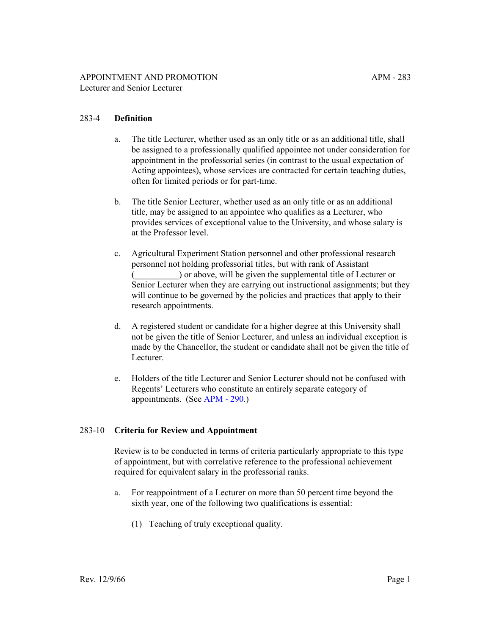# 283-4 **Definition**

- a. The title Lecturer, whether used as an only title or as an additional title, shall be assigned to a professionally qualified appointee not under consideration for appointment in the professorial series (in contrast to the usual expectation of Acting appointees), whose services are contracted for certain teaching duties, often for limited periods or for part-time.
- b. The title Senior Lecturer, whether used as an only title or as an additional title, may be assigned to an appointee who qualifies as a Lecturer, who provides services of exceptional value to the University, and whose salary is at the Professor level.
- c. Agricultural Experiment Station personnel and other professional research personnel not holding professorial titles, but with rank of Assistant (\_\_\_\_\_\_\_\_\_\_) or above, will be given the supplemental title of Lecturer or Senior Lecturer when they are carrying out instructional assignments; but they will continue to be governed by the policies and practices that apply to their research appointments.
- d. A registered student or candidate for a higher degree at this University shall not be given the title of Senior Lecturer, and unless an individual exception is made by the Chancellor, the student or candidate shall not be given the title of Lecturer.
- e. Holders of the title Lecturer and Senior Lecturer should not be confused with Regents' Lecturers who constitute an entirely separate category of appointments. (See [APM - 290](http://ucop.edu/academic-personnel-programs/_files/apm/apm-290.pdf).)

### 283-10 **Criteria for Review and Appointment**

Review is to be conducted in terms of criteria particularly appropriate to this type of appointment, but with correlative reference to the professional achievement required for equivalent salary in the professorial ranks.

- a. For reappointment of a Lecturer on more than 50 percent time beyond the sixth year, one of the following two qualifications is essential:
	- (1) Teaching of truly exceptional quality.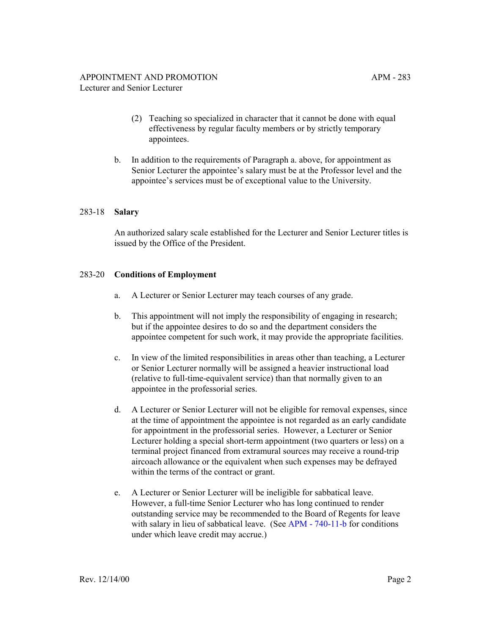- (2) Teaching so specialized in character that it cannot be done with equal effectiveness by regular faculty members or by strictly temporary appointees.
- b. In addition to the requirements of Paragraph a. above, for appointment as Senior Lecturer the appointee's salary must be at the Professor level and the appointee's services must be of exceptional value to the University.

#### 283-18 **Salary**

An authorized salary scale established for the Lecturer and Senior Lecturer titles is issued by the Office of the President.

#### 283-20 **Conditions of Employment**

- a. A Lecturer or Senior Lecturer may teach courses of any grade.
- b. This appointment will not imply the responsibility of engaging in research; but if the appointee desires to do so and the department considers the appointee competent for such work, it may provide the appropriate facilities.
- c. In view of the limited responsibilities in areas other than teaching, a Lecturer or Senior Lecturer normally will be assigned a heavier instructional load (relative to full-time-equivalent service) than that normally given to an appointee in the professorial series.
- d. A Lecturer or Senior Lecturer will not be eligible for removal expenses, since at the time of appointment the appointee is not regarded as an early candidate for appointment in the professorial series. However, a Lecturer or Senior Lecturer holding a special short-term appointment (two quarters or less) on a terminal project financed from extramural sources may receive a round-trip aircoach allowance or the equivalent when such expenses may be defrayed within the terms of the contract or grant.
- e. A Lecturer or Senior Lecturer will be ineligible for sabbatical leave. However, a full-time Senior Lecturer who has long continued to render outstanding service may be recommended to the Board of Regents for leave with salary in lieu of sabbatical leave. (See [APM - 740-11-b](http://ucop.edu/academic-personnel-programs/_files/apm/apm-740.pdf) for conditions under which leave credit may accrue.)